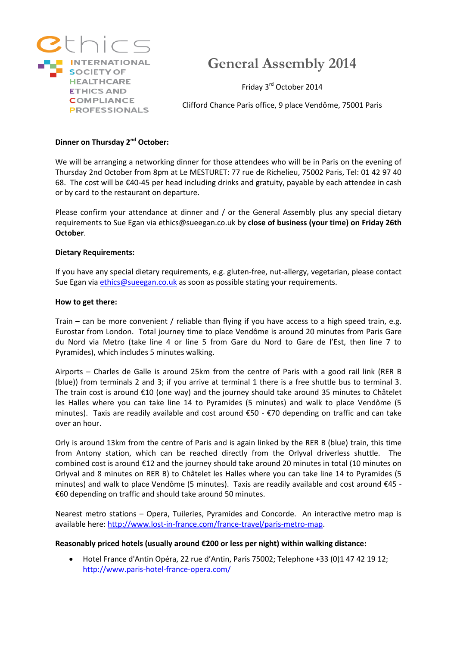

# **General Assembly 2014**

Friday 3rd October 2014

Clifford Chance Paris office, 9 place Vendôme, 75001 Paris

## **Dinner on Thursday 2nd October:**

We will be arranging a networking dinner for those attendees who will be in Paris on the evening of Thursday 2nd October from 8pm at Le MESTURET: 77 rue de Richelieu, 75002 Paris, Tel: 01 42 97 40 68. The cost will be €40-45 per head including drinks and gratuity, payable by each attendee in cash or by card to the restaurant on departure.

Please confirm your attendance at dinner and / or the General Assembly plus any special dietary requirements to Sue Egan via ethics@sueegan.co.uk by **close of business (your time) on Friday 26th October**.

#### **Dietary Requirements:**

If you have any special dietary requirements, e.g. gluten-free, nut-allergy, vegetarian, please contact Sue Egan via [ethics@sueegan.co.uk](mailto:ethics@sueegan.co.uk) as soon as possible stating your requirements.

#### **How to get there:**

Train – can be more convenient / reliable than flying if you have access to a high speed train, e.g. Eurostar from London. Total journey time to place Vendôme is around 20 minutes from Paris Gare du Nord via Metro (take line 4 or line 5 from Gare du Nord to Gare de l'Est, then line 7 to Pyramides), which includes 5 minutes walking.

Airports – Charles de Galle is around 25km from the centre of Paris with a good rail link (RER B (blue)) from terminals 2 and 3; if you arrive at terminal 1 there is a free shuttle bus to terminal 3. The train cost is around €10 (one way) and the journey should take around 35 minutes to Châtelet les Halles where you can take line 14 to Pyramides (5 minutes) and walk to place Vendôme (5 minutes). Taxis are readily available and cost around €50 - €70 depending on traffic and can take over an hour.

Orly is around 13km from the centre of Paris and is again linked by the RER B (blue) train, this time from Antony station, which can be reached directly from the Orlyval driverless shuttle. The combined cost is around €12 and the journey should take around 20 minutes in total (10 minutes on Orlyval and 8 minutes on RER B) to Châtelet les Halles where you can take line 14 to Pyramides (5 minutes) and walk to place Vendôme (5 minutes). Taxis are readily available and cost around €45 - €60 depending on traffic and should take around 50 minutes.

Nearest metro stations – Opera, Tuileries, Pyramides and Concorde. An interactive metro map is available here: [http://www.lost-in-france.com/france-travel/paris-metro-map.](http://www.lost-in-france.com/france-travel/paris-metro-map)

#### **Reasonably priced hotels (usually around €200 or less per night) within walking distance:**

 Hotel France d'Antin Opéra, 22 rue d'Antin, Paris 75002; Telephone +33 (0)1 47 42 19 12; <http://www.paris-hotel-france-opera.com/>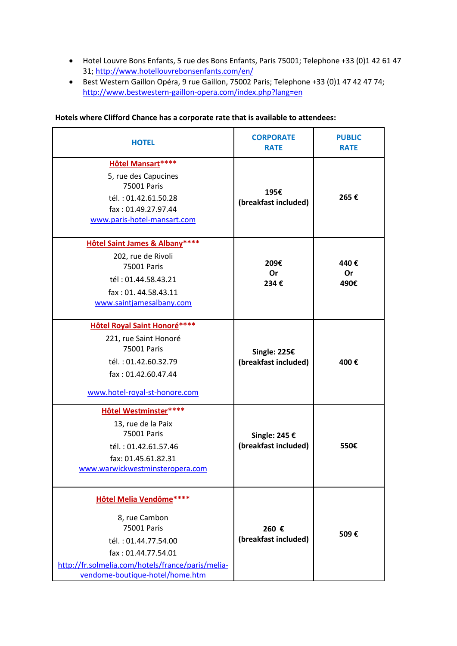- Hotel Louvre Bons Enfants, 5 rue des Bons Enfants, Paris 75001; Telephone +33 (0)1 42 61 47 31[; http://www.hotellouvrebonsenfants.com/en/](http://www.hotellouvrebonsenfants.com/en/)
- Best Western Gaillon Opéra, 9 rue Gaillon, 75002 Paris; Telephone +33 (0)1 47 42 47 74; <http://www.bestwestern-gaillon-opera.com/index.php?lang=en>

| <b>HOTEL</b>                                                                                                                                                                                          | <b>CORPORATE</b><br><b>RATE</b>       | <b>PUBLIC</b><br><b>RATE</b> |
|-------------------------------------------------------------------------------------------------------------------------------------------------------------------------------------------------------|---------------------------------------|------------------------------|
| Hôtel Mansart ****<br>5, rue des Capucines<br>75001 Paris<br>tél.: 01.42.61.50.28<br>fax: 01.49.27.97.44<br>www.paris-hotel-mansart.com                                                               | 195€<br>(breakfast included)          | 265€                         |
| <b>Hôtel Saint James &amp; Albany****</b><br>202, rue de Rivoli<br>75001 Paris<br>tél: 01.44.58.43.21<br>fax: 01.44.58.43.11<br>www.saintjamesalbany.com                                              | 209€<br>Or<br>234€                    | 440€<br><b>Or</b><br>490€    |
| <b>Hôtel Royal Saint Honoré****</b><br>221, rue Saint Honoré<br>75001 Paris<br>tél.: 01.42.60.32.79<br>fax: 01.42.60.47.44<br>www.hotel-royal-st-honore.com                                           | Single: 225€<br>(breakfast included)  | 400€                         |
| <b>Hôtel Westminster****</b><br>13, rue de la Paix<br>75001 Paris<br>tél.: 01.42.61.57.46<br>fax: 01.45.61.82.31<br>www.warwickwestminsteropera.com                                                   | Single: 245 €<br>(breakfast included) | 550€                         |
| <b>Hôtel Melia Vendôme****</b><br>8, rue Cambon<br>75001 Paris<br>tél.: 01.44.77.54.00<br>fax: 01.44.77.54.01<br>http://fr.solmelia.com/hotels/france/paris/melia-<br>vendome-boutique-hotel/home.htm | 260 €<br>(breakfast included)         | 509€                         |

## **Hotels where Clifford Chance has a corporate rate that is available to attendees:**